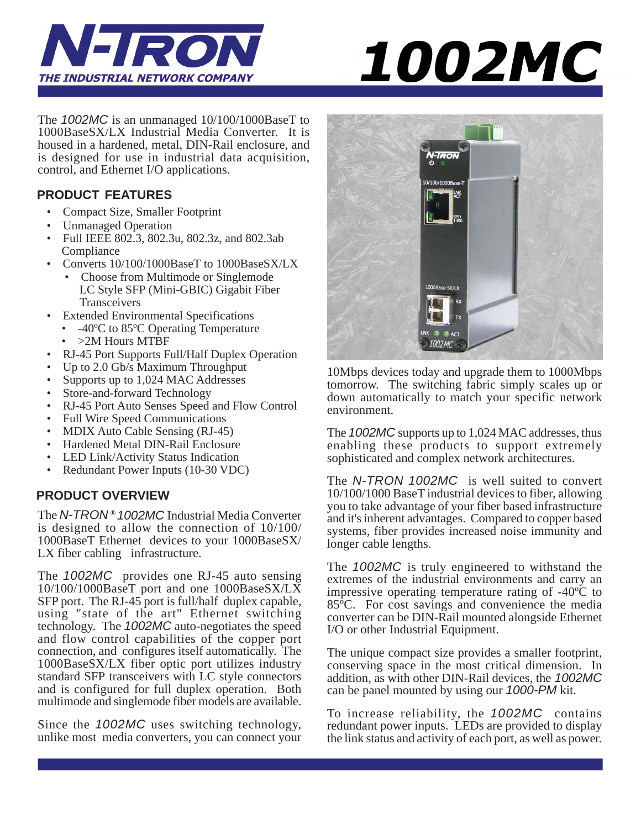

# 1002MC

The *1002MC* is an unmanaged 10/100/1000BaseT to 1000BaseSX/LX Industrial Media Converter. It is housed in a hardened, metal, DIN-Rail enclosure, and is designed for use in industrial data acquisition, control, and Ethernet I/O applications.

#### **PRODUCT FEATURES**

- Compact Size, Smaller Footprint
- Unmanaged Operation
- Full IEEE 802.3, 802.3u, 802.3z, and 802.3ab Compliance
- Converts 10/100/1000BaseT to 1000BaseSX/LX
	- Choose from Multimode or Singlemode LC Style SFP (Mini-GBIC) Gigabit Fiber Transceivers
- Extended Environmental Specifications
	- -40ºC to 85ºC Operating Temperature
	- >2M Hours MTBF
- RJ-45 Port Supports Full/Half Duplex Operation
- Up to 2.0 Gb/s Maximum Throughput
- Supports up to 1,024 MAC Addresses
- Store-and-forward Technology
- RJ-45 Port Auto Senses Speed and Flow Control
- Full Wire Speed Communications
- MDIX Auto Cable Sensing (RJ-45)
- Hardened Metal DIN-Rail Enclosure
- LED Link/Activity Status Indication
- Redundant Power Inputs (10-30 VDC)

#### **PRODUCT OVERVIEW**

The *N-TRON* ® *1002MC* Industrial Media Converter is designed to allow the connection of 10/100/ 1000BaseT Ethernet devices to your 1000BaseSX/ LX fiber cabling infrastructure.

The *1002MC* provides one RJ-45 auto sensing 10/100/1000BaseT port and one 1000BaseSX/LX SFP port. The RJ-45 port is full/half duplex capable, using "state of the art" Ethernet switching technology. The *1002MC* auto-negotiates the speed and flow control capabilities of the copper port connection, and configures itself automatically. The 1000BaseSX/LX fiber optic port utilizes industry standard SFP transceivers with LC style connectors and is configured for full duplex operation. Both multimode and singlemode fiber models are available.

Since the *1002MC* uses switching technology, unlike most media converters, you can connect your



10Mbps devices today and upgrade them to 1000Mbps tomorrow. The switching fabric simply scales up or down automatically to match your specific network environment.

The *1002MC* supports up to 1,024 MAC addresses, thus enabling these products to support extremely sophisticated and complex network architectures.

The *N-TRON 1002MC* is well suited to convert 10/100/1000 BaseT industrial devices to fiber, allowing you to take advantage of your fiber based infrastructure and it's inherent advantages. Compared to copper based systems, fiber provides increased noise immunity and longer cable lengths.

The *1002MC* is truly engineered to withstand the extremes of the industrial environments and carry an impressive operating temperature rating of -40ºC to 85ºC. For cost savings and convenience the media converter can be DIN-Rail mounted alongside Ethernet I/O or other Industrial Equipment.

The unique compact size provides a smaller footprint, conserving space in the most critical dimension. In addition, as with other DIN-Rail devices, the *1002MC* can be panel mounted by using our *1000-PM* kit.

To increase reliability, the *1002MC* contains redundant power inputs. LEDs are provided to display the link status and activity of each port, as well as power.